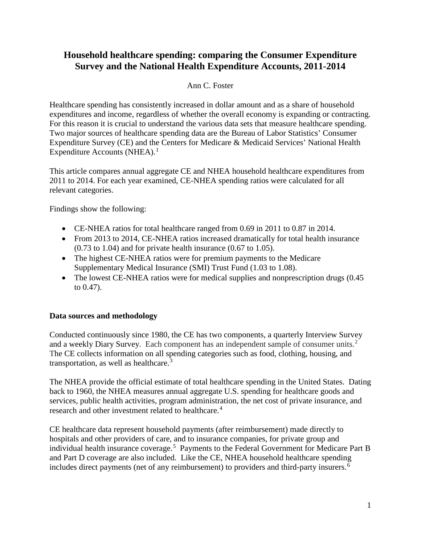# **Household healthcare spending: comparing the Consumer Expenditure Survey and the National Health Expenditure Accounts, 2011-2014**

## Ann C. Foster

Healthcare spending has consistently increased in dollar amount and as a share of household expenditures and income, regardless of whether the overall economy is expanding or contracting. For this reason it is crucial to understand the various data sets that measure healthcare spending. Two major sources of healthcare spending data are the Bureau of Labor Statistics' Consumer Expenditure Survey (CE) and the Centers for Medicare & Medicaid Services' National Health Expenditure Accounts (NHEA).<sup>[1](#page-5-0)</sup>

This article compares annual aggregate CE and NHEA household healthcare expenditures from 2011 to 2014. For each year examined, CE-NHEA spending ratios were calculated for all relevant categories.

Findings show the following:

- CE-NHEA ratios for total healthcare ranged from 0.69 in 2011 to 0.87 in 2014.
- From 2013 to 2014, CE-NHEA ratios increased dramatically for total health insurance (0.73 to 1.04) and for private health insurance (0.67 to 1.05).
- The highest CE-NHEA ratios were for premium payments to the Medicare Supplementary Medical Insurance (SMI) Trust Fund (1.03 to 1.08).
- The lowest CE-NHEA ratios were for medical supplies and nonprescription drugs (0.45) to 0.47).

## **Data sources and methodology**

Conducted continuously since 1980, the CE has two components, a quarterly Interview Survey and a weekly Diary Survey. Each component has an independent sample of consumer units. $2$ The CE collects information on all spending categories such as food, clothing, housing, and transportation, as well as healthcare.<sup>[3](#page-5-2)</sup>

The NHEA provide the official estimate of total healthcare spending in the United States. Dating back to 1960, the NHEA measures annual aggregate U.S. spending for healthcare goods and services, public health activities, program administration, the net cost of private insurance, and research and other investment related to healthcare. [4](#page-5-3)

CE healthcare data represent household payments (after reimbursement) made directly to hospitals and other providers of care, and to insurance companies, for private group and individual health insurance coverage.<sup>[5](#page-5-4)</sup> Payments to the Federal Government for Medicare Part B and Part D coverage are also included. Like the CE, NHEA household healthcare spending includes direct payments (net of any reimbursement) to providers and third-party insurers. $\overline{6}$  $\overline{6}$  $\overline{6}$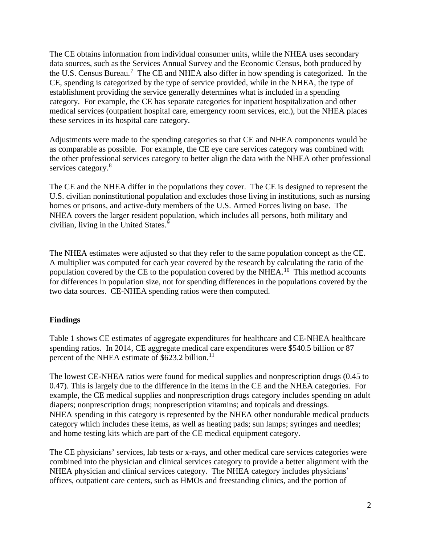The CE obtains information from individual consumer units, while the NHEA uses secondary data sources, such as the Services Annual Survey and the Economic Census, both produced by the U.S. Census Bureau.<sup>[7](#page-5-6)</sup> The CE and NHEA also differ in how spending is categorized. In the CE, spending is categorized by the type of service provided, while in the NHEA, the type of establishment providing the service generally determines what is included in a spending category. For example, the CE has separate categories for inpatient hospitalization and other medical services (outpatient hospital care, emergency room services, etc.), but the NHEA places these services in its hospital care category.

Adjustments were made to the spending categories so that CE and NHEA components would be as comparable as possible. For example, the CE eye care services category was combined with the other professional services category to better align the data with the NHEA other professional services category.<sup>[8](#page-6-0)</sup>

The CE and the NHEA differ in the populations they cover. The CE is designed to represent the U.S. civilian noninstitutional population and excludes those living in institutions, such as nursing homes or prisons, and active-duty members of the U.S. Armed Forces living on base. The NHEA covers the larger resident population, which includes all persons, both military and civilian, living in the United States.<sup>[9](#page-6-1)</sup>

The NHEA estimates were adjusted so that they refer to the same population concept as the CE. A multiplier was computed for each year covered by the research by calculating the ratio of the population covered by the CE to the population covered by the NHEA.<sup>[10](#page-6-2)</sup> This method accounts for differences in population size, not for spending differences in the populations covered by the two data sources. CE-NHEA spending ratios were then computed.

### **Findings**

Table 1 shows CE estimates of aggregate expenditures for healthcare and CE-NHEA healthcare spending ratios. In 2014, CE aggregate medical care expenditures were \$540.5 billion or 87 percent of the NHEA estimate of \$623.2 billion.<sup>[11](#page-6-3)</sup>

The lowest CE-NHEA ratios were found for medical supplies and nonprescription drugs (0.45 to 0.47). This is largely due to the difference in the items in the CE and the NHEA categories. For example, the CE medical supplies and nonprescription drugs category includes spending on adult diapers; nonprescription drugs; nonprescription vitamins; and topicals and dressings. NHEA spending in this category is represented by the NHEA other nondurable medical products category which includes these items, as well as heating pads; sun lamps; syringes and needles; and home testing kits which are part of the CE medical equipment category.

The CE physicians' services, lab tests or x-rays, and other medical care services categories were combined into the physician and clinical services category to provide a better alignment with the NHEA physician and clinical services category. The NHEA category includes physicians' offices, outpatient care centers, such as HMOs and freestanding clinics, and the portion of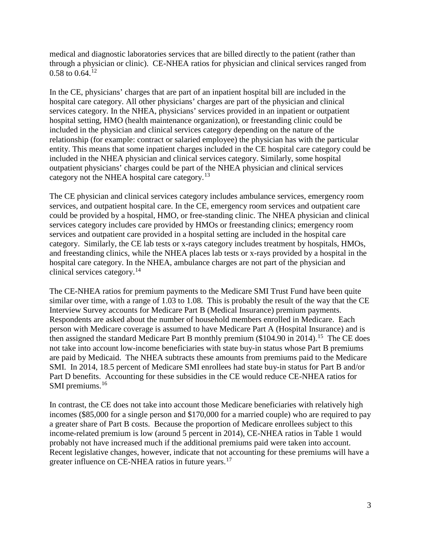medical and diagnostic laboratories services that are billed directly to the patient (rather than through a physician or clinic). CE-NHEA ratios for physician and clinical services ranged from  $0.58$  to  $0.64$ <sup>[12](#page-6-4)</sup>

In the CE, physicians' charges that are part of an inpatient hospital bill are included in the hospital care category. All other physicians' charges are part of the physician and clinical services category. In the NHEA, physicians' services provided in an inpatient or outpatient hospital setting, HMO (health maintenance organization), or freestanding clinic could be included in the physician and clinical services category depending on the nature of the relationship (for example: contract or salaried employee) the physician has with the particular entity. This means that some inpatient charges included in the CE hospital care category could be included in the NHEA physician and clinical services category. Similarly, some hospital outpatient physicians' charges could be part of the NHEA physician and clinical services category not the NHEA hospital care category.<sup>[13](#page-6-5)</sup>

The CE physician and clinical services category includes ambulance services, emergency room services, and outpatient hospital care. In the CE, emergency room services and outpatient care could be provided by a hospital, HMO, or free-standing clinic. The NHEA physician and clinical services category includes care provided by HMOs or freestanding clinics; emergency room services and outpatient care provided in a hospital setting are included in the hospital care category. Similarly, the CE lab tests or x-rays category includes treatment by hospitals, HMOs, and freestanding clinics, while the NHEA places lab tests or x-rays provided by a hospital in the hospital care category. In the NHEA, ambulance charges are not part of the physician and clinical services category.[14](#page-7-0)

The CE-NHEA ratios for premium payments to the Medicare SMI Trust Fund have been quite similar over time, with a range of 1.03 to 1.08. This is probably the result of the way that the CE Interview Survey accounts for Medicare Part B (Medical Insurance) premium payments. Respondents are asked about the number of household members enrolled in Medicare. Each person with Medicare coverage is assumed to have Medicare Part A (Hospital Insurance) and is then assigned the standard Medicare Part B monthly premium (\$104.90 in 2014).<sup>[15](#page-7-1)</sup> The CE does not take into account low-income beneficiaries with state buy-in status whose Part B premiums are paid by Medicaid. The NHEA subtracts these amounts from premiums paid to the Medicare SMI. In 2014, 18.5 percent of Medicare SMI enrollees had state buy-in status for Part B and/or Part D benefits. Accounting for these subsidies in the CE would reduce CE-NHEA ratios for SMI premiums.<sup>[16](#page-7-2)</sup>

In contrast, the CE does not take into account those Medicare beneficiaries with relatively high incomes (\$85,000 for a single person and \$170,000 for a married couple) who are required to pay a greater share of Part B costs. Because the proportion of Medicare enrollees subject to this income-related premium is low (around 5 percent in 2014), CE-NHEA ratios in Table 1 would probably not have increased much if the additional premiums paid were taken into account. Recent legislative changes, however, indicate that not accounting for these premiums will have a greater influence on CE-NHEA ratios in future years.<sup>[17](#page-7-3)</sup>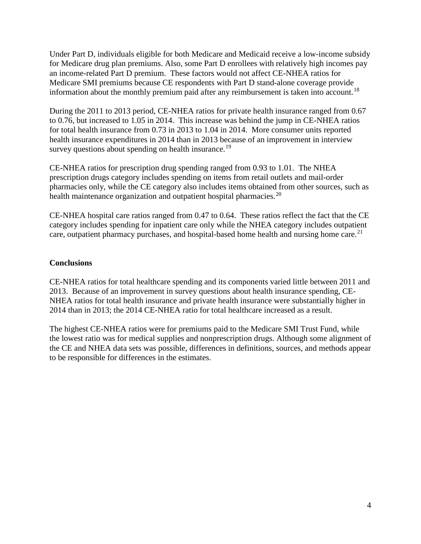Under Part D, individuals eligible for both Medicare and Medicaid receive a low-income subsidy for Medicare drug plan premiums. Also, some Part D enrollees with relatively high incomes pay an income-related Part D premium. These factors would not affect CE-NHEA ratios for Medicare SMI premiums because CE respondents with Part D stand-alone coverage provide information about the monthly premium paid after any reimbursement is taken into account.<sup>18</sup>

During the 2011 to 2013 period, CE-NHEA ratios for private health insurance ranged from 0.67 to 0.76, but increased to 1.05 in 2014. This increase was behind the jump in CE-NHEA ratios for total health insurance from 0.73 in 2013 to 1.04 in 2014. More consumer units reported health insurance expenditures in 2014 than in 2013 because of an improvement in interview survey questions about spending on health insurance.<sup>[19](#page-7-5)</sup>

CE-NHEA ratios for prescription drug spending ranged from 0.93 to 1.01. The NHEA prescription drugs category includes spending on items from retail outlets and mail-order pharmacies only, while the CE category also includes items obtained from other sources, such as health maintenance organization and outpatient hospital pharmacies.<sup>[20](#page-7-6)</sup>

CE-NHEA hospital care ratios ranged from 0.47 to 0.64. These ratios reflect the fact that the CE category includes spending for inpatient care only while the NHEA category includes outpatient care, outpatient pharmacy purchases, and hospital-based home health and nursing home care.<sup>21</sup>

#### **Conclusions**

CE-NHEA ratios for total healthcare spending and its components varied little between 2011 and 2013. Because of an improvement in survey questions about health insurance spending, CE-NHEA ratios for total health insurance and private health insurance were substantially higher in 2014 than in 2013; the 2014 CE-NHEA ratio for total healthcare increased as a result.

The highest CE-NHEA ratios were for premiums paid to the Medicare SMI Trust Fund, while the lowest ratio was for medical supplies and nonprescription drugs. Although some alignment of the CE and NHEA data sets was possible, differences in definitions, sources, and methods appear to be responsible for differences in the estimates.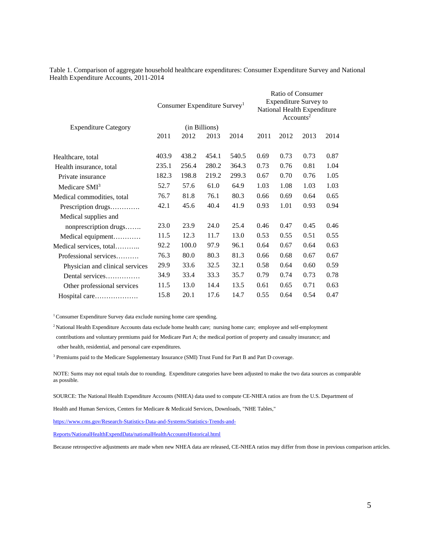Table 1. Comparison of aggregate household healthcare expenditures: Consumer Expenditure Survey and National Health Expenditure Accounts, 2011-2014

|                                 | Consumer Expenditure Survey <sup>1</sup> |       |       |       | Ratio of Consumer<br><b>Expenditure Survey to</b><br>National Health Expenditure<br>Accounts <sup>2</sup> |      |      |      |
|---------------------------------|------------------------------------------|-------|-------|-------|-----------------------------------------------------------------------------------------------------------|------|------|------|
| <b>Expenditure Category</b>     | (in Billions)                            |       |       |       |                                                                                                           |      |      |      |
|                                 | 2011                                     | 2012  | 2013  | 2014  | 2011                                                                                                      | 2012 | 2013 | 2014 |
| Healthcare, total               | 403.9                                    | 438.2 | 454.1 | 540.5 | 0.69                                                                                                      | 0.73 | 0.73 | 0.87 |
| Health insurance, total         | 235.1                                    | 256.4 | 280.2 | 364.3 | 0.73                                                                                                      | 0.76 | 0.81 | 1.04 |
| Private insurance               | 182.3                                    | 198.8 | 219.2 | 299.3 | 0.67                                                                                                      | 0.70 | 0.76 | 1.05 |
| Medicare SMI <sup>3</sup>       | 52.7                                     | 57.6  | 61.0  | 64.9  | 1.03                                                                                                      | 1.08 | 1.03 | 1.03 |
| Medical commodities, total      | 76.7                                     | 81.8  | 76.1  | 80.3  | 0.66                                                                                                      | 0.69 | 0.64 | 0.65 |
| Prescription drugs              | 42.1                                     | 45.6  | 40.4  | 41.9  | 0.93                                                                                                      | 1.01 | 0.93 | 0.94 |
| Medical supplies and            |                                          |       |       |       |                                                                                                           |      |      |      |
| nonprescription drugs           | 23.0                                     | 23.9  | 24.0  | 25.4  | 0.46                                                                                                      | 0.47 | 0.45 | 0.46 |
| Medical equipment               | 11.5                                     | 12.3  | 11.7  | 13.0  | 0.53                                                                                                      | 0.55 | 0.51 | 0.55 |
| Medical services, total         | 92.2                                     | 100.0 | 97.9  | 96.1  | 0.64                                                                                                      | 0.67 | 0.64 | 0.63 |
| Professional services           | 76.3                                     | 80.0  | 80.3  | 81.3  | 0.66                                                                                                      | 0.68 | 0.67 | 0.67 |
| Physician and clinical services | 29.9                                     | 33.6  | 32.5  | 32.1  | 0.58                                                                                                      | 0.64 | 0.60 | 0.59 |
| Dental services                 | 34.9                                     | 33.4  | 33.3  | 35.7  | 0.79                                                                                                      | 0.74 | 0.73 | 0.78 |
| Other professional services     | 11.5                                     | 13.0  | 14.4  | 13.5  | 0.61                                                                                                      | 0.65 | 0.71 | 0.63 |
| Hospital care                   | 15.8                                     | 20.1  | 17.6  | 14.7  | 0.55                                                                                                      | 0.64 | 0.54 | 0.47 |

<sup>1</sup> Consumer Expenditure Survey data exclude nursing home care spending.

2 National Health Expenditure Accounts data exclude home health care; nursing home care; employee and self-employment contributions and voluntary premiums paid for Medicare Part A; the medical portion of property and casualty insurance; and other health, residential, and personal care expenditures.

<sup>3</sup> Premiums paid to the Medicare Supplementary Insurance (SMI) Trust Fund for Part B and Part D coverage.

NOTE: Sums may not equal totals due to rounding. Expenditure categories have been adjusted to make the two data sources as comparable as possible.

SOURCE: The National Health Expenditure Accounts (NHEA) data used to compute CE-NHEA ratios are from the U.S. Department of

Health and Human Services, Centers for Medicare & Medicaid Services, Downloads, "NHE Tables,"

https://www.cms.gov/Research-Statistics-Data-and-Systems/Statistics-Trends-and-

Reports/NationalHealthExpendData/nationalHealthAccountsHistorical.html

Because retrospective adjustments are made when new NHEA data are released, CE-NHEA ratios may differ from those in previous comparison articles.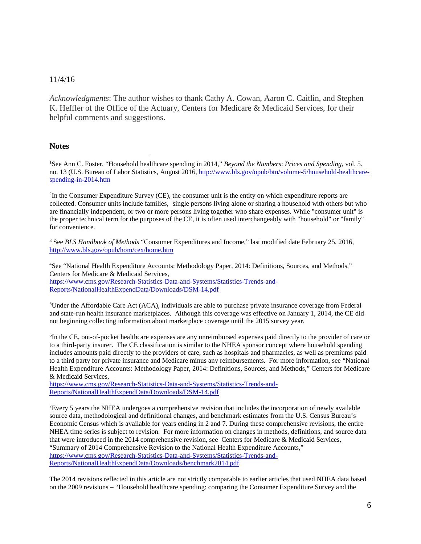#### 11/4/16

*Acknowledgments*: The author wishes to thank Cathy A. Cowan, Aaron C. Caitlin, and Stephen K. Heffler of the Office of the Actuary, Centers for Medicare & Medicaid Services, for their helpful comments and suggestions.

#### **Notes**

 $\overline{a}$ 

<span id="page-5-0"></span>1 See Ann C. Foster, "Household healthcare spending in 2014," *Beyond the Numbers*: *Prices and Spending*, vol. 5. no. 13 (U.S. Bureau of Labor Statistics, August 2016, [http://www.bls.gov/opub/btn/volume-5/household-healthcare](http://www.bls.gov/opub/btn/volume-5/household-healthcare-spending-in-2014.htm)[spending-in-2014.htm](http://www.bls.gov/opub/btn/volume-5/household-healthcare-spending-in-2014.htm) 

<span id="page-5-1"></span><sup>2</sup>In the Consumer Expenditure Survey (CE), the consumer unit is the entity on which expenditure reports are collected. Consumer units include families, single persons living alone or sharing a household with others but who are financially independent, or two or more persons living together who share expenses. While "consumer unit" is the proper technical term for the purposes of the CE, it is often used interchangeably with "household" or "family" for convenience.

<span id="page-5-2"></span><sup>3</sup> See *BLS Handbook of Methods* "Consumer Expenditures and Income," last modified date February 25, 2016, <http://www.bls.gov/opub/hom/cex/home.htm>

<span id="page-5-3"></span>4 See "National Health Expenditure Accounts: Methodology Paper, 2014: Definitions, Sources, and Methods," Centers for Medicare & Medicaid Services, [https://www.cms.gov/Research-Statistics-Data-and-Systems/Statistics-Trends-and-](https://www.cms.gov/Research-Statistics-Data-and-Systems/Statistics-Trends-and-Reports/NationalHealthExpendData/Downloads/DSM-14.pdf)[Reports/NationalHealthExpendData/Downloads/DSM-14.pdf](https://www.cms.gov/Research-Statistics-Data-and-Systems/Statistics-Trends-and-Reports/NationalHealthExpendData/Downloads/DSM-14.pdf) 

<span id="page-5-4"></span><sup>5</sup>Under the Affordable Care Act (ACA), individuals are able to purchase private insurance coverage from Federal and state-run health insurance marketplaces. Although this coverage was effective on January 1, 2014, the CE did not beginning collecting information about marketplace coverage until the 2015 survey year.

<span id="page-5-5"></span>6 In the CE, out-of-pocket healthcare expenses are any unreimbursed expenses paid directly to the provider of care or to a third-party insurer. The CE classification is similar to the NHEA sponsor concept where household spending includes amounts paid directly to the providers of care, such as hospitals and pharmacies, as well as premiums paid to a third party for private insurance and Medicare minus any reimbursements. For more information, see "National Health Expenditure Accounts: Methodology Paper, 2014: Definitions, Sources, and Methods," Centers for Medicare & Medicaid Services,

[https://www.cms.gov/Research-Statistics-Data-and-Systems/Statistics-Trends-and-](https://www.cms.gov/Research-Statistics-Data-and-Systems/Statistics-Trends-and-Reports/NationalHealthExpendData/Downloads/DSM-14.pdf)[Reports/NationalHealthExpendData/Downloads/DSM-14.pdf](https://www.cms.gov/Research-Statistics-Data-and-Systems/Statistics-Trends-and-Reports/NationalHealthExpendData/Downloads/DSM-14.pdf) 

<span id="page-5-6"></span><sup>7</sup>Every 5 years the NHEA undergoes a comprehensive revision that includes the incorporation of newly available source data, methodological and definitional changes, and benchmark estimates from the U.S. Census Bureau's Economic Census which is available for years ending in 2 and 7. During these comprehensive revisions, the entire NHEA time series is subject to revision. For more information on changes in methods, definitions, and source data that were introduced in the 2014 comprehensive revision, see Centers for Medicare & Medicaid Services, "Summary of 2014 Comprehensive Revision to the National Health Expenditure Accounts," [https://www.cms.gov/Research-Statistics-Data-and-Systems/Statistics-Trends-and-](https://www.cms.gov/Research-Statistics-Data-and-Systems/Statistics-Trends-and-Reports/NationalHealthExpendData/Downloads/benchmark2014.pdf)[Reports/NationalHealthExpendData/Downloads/benchmark2014.pdf.](https://www.cms.gov/Research-Statistics-Data-and-Systems/Statistics-Trends-and-Reports/NationalHealthExpendData/Downloads/benchmark2014.pdf)

The 2014 revisions reflected in this article are not strictly comparable to earlier articles that used NHEA data based on the 2009 revisions – "Household healthcare spending: comparing the Consumer Expenditure Survey and the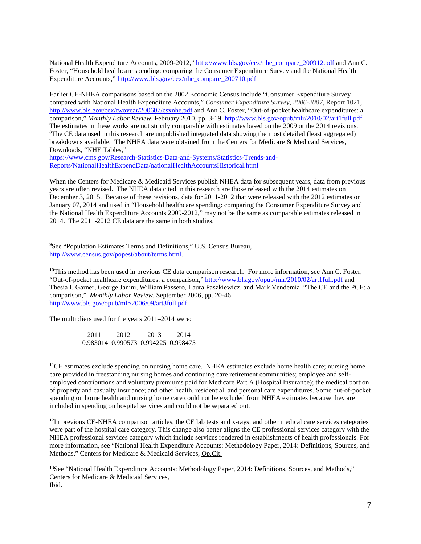National Health Expenditure Accounts, 2009-2012," [http://www.bls.gov/cex/nhe\\_compare\\_200912.pdf](http://www.bls.gov/cex/nhe_compare_200912.pdf) and Ann C. Foster, "Household healthcare spending: comparing the Consumer Expenditure Survey and the National Health Expenditure Accounts," [http://www.bls.gov/cex/nhe\\_compare\\_200710.pdf](http://www.bls.gov/cex/nhe_compare_200710.pdf)

Earlier CE-NHEA comparisons based on the 2002 Economic Census include "Consumer Expenditure Survey compared with National Health Expenditure Accounts," *Consumer Expenditure Survey, 2006-2007*, Report 1021, <http://www.bls.gov/cex/twoyear/200607/csxnhe.pdf> and Ann C. Foster, "Out-of-pocket healthcare expenditures: a comparison," *Monthly Labor Review*, February 2010, pp. 3-19[, http://www.bls.gov/opub/mlr/2010/02/art1full.pdf.](http://www.bls.gov/opub/mlr/2010/02/art1full.pdf) The estimates in these works are not strictly comparable with estimates based on the 2009 or the 2014 revisions. <sup>8</sup>The CE data used in this research are unpublished integrated data showing the most detailed (least aggregated) breakdowns available. The NHEA data were obtained from the Centers for Medicare & Medicaid Services, Downloads, "NHE Tables,"

<span id="page-6-0"></span>[https://www.cms.gov/Research-Statistics-Data-and-Systems/Statistics-Trends-and-](https://www.cms.gov/Research-Statistics-Data-and-Systems/Statistics-Trends-and-Reports/NationalHealthExpendData/nationalHealthAccountsHistorical.html)[Reports/NationalHealthExpendData/nationalHealthAccountsHistorical.html](https://www.cms.gov/Research-Statistics-Data-and-Systems/Statistics-Trends-and-Reports/NationalHealthExpendData/nationalHealthAccountsHistorical.html)

When the Centers for Medicare & Medicaid Services publish NHEA data for subsequent years, data from previous years are often revised. The NHEA data cited in this research are those released with the 2014 estimates on December 3, 2015. Because of these revisions, data for 2011-2012 that were released with the 2012 estimates on January 07, 2014 and used in "Household healthcare spending: comparing the Consumer Expenditure Survey and the National Health Expenditure Accounts 2009-2012," may not be the same as comparable estimates released in 2014. The 2011-2012 CE data are the same in both studies.

<span id="page-6-1"></span>**9** See "Population Estimates Terms and Definitions," U.S. Census Bureau, [http://www.census.gov/popest/about/terms.html.](http://www.census.gov/popest/about/terms.html)

<span id="page-6-2"></span><sup>10</sup>This method has been used in previous CE data comparison research. For more information, see Ann C. Foster, "Out-of-pocket healthcare expenditures: a comparison," <http://www.bls.gov/opub/mlr/2010/02/art1full.pdf> and Thesia I. Garner, George Janini, William Passero, Laura Paszkiewicz, and Mark Vendemia, "The CE and the PCE: a comparison," *Monthly Labor Review*, September 2006, pp. 20-46, [http://www.bls.gov/opub/mlr/2006/09/art3full.pdf.](http://www.bls.gov/opub/mlr/2006/09/art3full.pdf) 

The multipliers used for the years 2011–2014 were:

 2011 2012 2013 2014 0.983014 0.990573 0.994225 0.998475

<span id="page-6-3"></span> $<sup>11</sup>CE$  estimates exclude spending on nursing home care. NHEA estimates exclude home health care; nursing home</sup> care provided in freestanding nursing homes and continuing care retirement communities; employee and selfemployed contributions and voluntary premiums paid for Medicare Part A (Hospital Insurance); the medical portion of property and casualty insurance; and other health, residential, and personal care expenditures. Some out-of-pocket spending on home health and nursing home care could not be excluded from NHEA estimates because they are included in spending on hospital services and could not be separated out.

<span id="page-6-4"></span> $12$ In previous CE-NHEA comparison articles, the CE lab tests and x-rays; and other medical care services categories were part of the hospital care category. This change also better aligns the CE professional services category with the NHEA professional services category which include services rendered in establishments of health professionals. For more information, see "National Health Expenditure Accounts: Methodology Paper, 2014: Definitions, Sources, and Methods," Centers for Medicare & Medicaid Services, Op.Cit.

<span id="page-6-5"></span><sup>13</sup>See "National Health Expenditure Accounts: Methodology Paper, 2014: Definitions, Sources, and Methods," Centers for Medicare & Medicaid Services, Ibid.